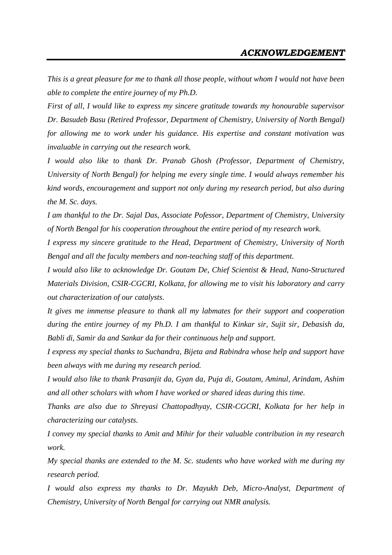*This is a great pleasure for me to thank all those people, without whom I would not have been able to complete the entire journey of my Ph.D.*

*First of all, I would like to express my sincere gratitude towards my honourable supervisor Dr. Basudeb Basu (Retired Professor, Department of Chemistry, University of North Bengal) for allowing me to work under his guidance. His expertise and constant motivation was invaluable in carrying out the research work.* 

*I would also like to thank Dr. Pranab Ghosh (Professor, Department of Chemistry, University of North Bengal) for helping me every single time. I would always remember his kind words, encouragement and support not only during my research period, but also during the M. Sc. days.* 

*I am thankful to the Dr. Sajal Das, Associate Pofessor, Department of Chemistry, University of North Bengal for his cooperation throughout the entire period of my research work.*

*I express my sincere gratitude to the Head, Department of Chemistry, University of North Bengal and all the faculty members and non-teaching staff of this department.*

*I would also like to acknowledge Dr. Goutam De, Chief Scientist & Head, Nano-Structured Materials Division, CSIR-CGCRI, Kolkata, for allowing me to visit his laboratory and carry out characterization of our catalysts.*

*It gives me immense pleasure to thank all my labmates for their support and cooperation during the entire journey of my Ph.D. I am thankful to Kinkar sir, Sujit sir, Debasish da, Babli di, Samir da and Sankar da for their continuous help and support.*

*I express my special thanks to Suchandra, Bijeta and Rabindra whose help and support have been always with me during my research period.*

*I would also like to thank Prasanjit da, Gyan da, Puja di, Goutam, Aminul, Arindam, Ashim and all other scholars with whom I have worked or shared ideas during this time.*

*Thanks are also due to Shreyasi Chattopadhyay, CSIR-CGCRI, Kolkata for her help in characterizing our catalysts.* 

*I convey my special thanks to Amit and Mihir for their valuable contribution in my research work.* 

*My special thanks are extended to the M. Sc. students who have worked with me during my research period.* 

*I would also express my thanks to Dr. Mayukh Deb, Micro-Analyst, Department of Chemistry, University of North Bengal for carrying out NMR analysis.*